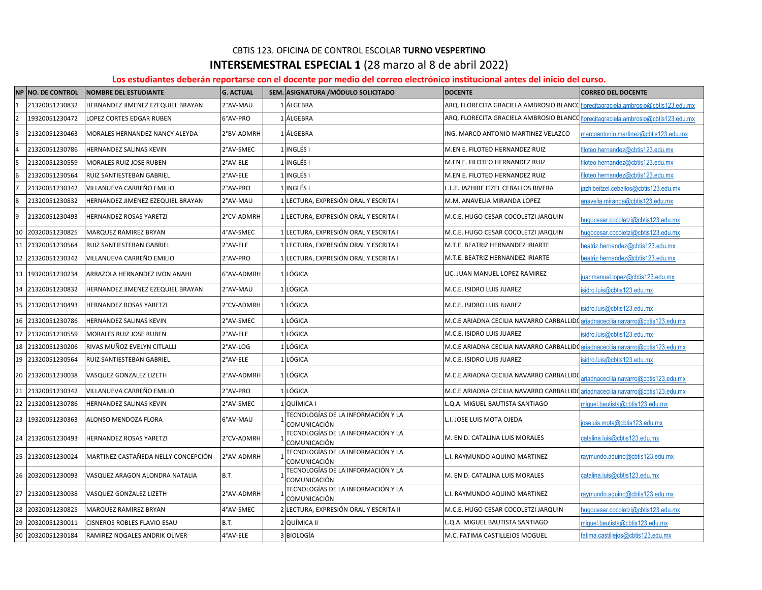## **INTERSEMESTRAL ESPECIAL 1** (28 marzo al 8 de abril 2022) CBTIS 123. OFICINA DE CONTROL ESCOLAR **TURNO VESPERTINO**

## **Los estudiantes deberán reportarse con el docente por medio del correo electrónico institucional antes del inicio del curso.**

|                | NP NO. DE CONTROL | <b>NOMBRE DEL ESTUDIANTE</b>        | <b>G. ACTUAL</b> | SEM. ASIGNATURA / MÓDULO SOLICITADO                | <b>DOCENTE</b>                                                                     | <b>CORREO DEL DOCENTE</b>              |
|----------------|-------------------|-------------------------------------|------------------|----------------------------------------------------|------------------------------------------------------------------------------------|----------------------------------------|
| $\mathbf{1}$   | 21320051230832    | HERNANDEZ JIMENEZ EZEQUIEL BRAYAN   | 2°AV-MAU         | 1 ÁLGEBRA                                          | ARQ. FLORECITA GRACIELA AMBROSIO BLANCO florecitagraciela.ambrosio@cbtis123.edu.mx |                                        |
| $\overline{2}$ | 19320051230472    | LOPEZ CORTES EDGAR RUBEN            | 6°AV-PRO         | 1 ÁLGEBRA                                          | ARQ. FLORECITA GRACIELA AMBROSIO BLANCO florecitagraciela.ambrosio@cbtis123.edu.mx |                                        |
| 3              | 21320051230463    | MORALES HERNANDEZ NANCY ALEYDA      | 2°BV-ADMRH       | 1 ÁLGEBRA                                          | ING. MARCO ANTONIO MARTINEZ VELAZCO                                                | marcoantonio.martinez@cbtis123.edu.mx  |
| 4              | 21320051230786    | HERNANDEZ SALINAS KEVIN             | 2°AV-SMEC        | 1 INGLÉS I                                         | M.EN E. FILOTEO HERNANDEZ RUIZ                                                     | filoteo.hernandez@cbtis123.edu.mx      |
| 5              | 21320051230559    | MORALES RUIZ JOSE RUBEN             | 2°AV-ELE         | 1 INGLÉS I                                         | M.EN E. FILOTEO HERNANDEZ RUIZ                                                     | iloteo.hernandez@cbtis123.edu.mx       |
| 6              | 21320051230564    | RUIZ SANTIESTEBAN GABRIEL           | 2°AV-ELE         | 1 INGLÉS I                                         | M.EN E. FILOTEO HERNANDEZ RUIZ                                                     | iloteo.hernandez@cbtis123.edu.mx       |
|                | 21320051230342    | VILLANUEVA CARREÑO EMILIO           | 2°AV-PRO         | 1 INGLÉS I                                         | L.L.E. JAZHIBE ITZEL CEBALLOS RIVERA                                               | azhibeitzel.ceballos@cbtis123.edu.mx   |
| 8              | 21320051230832    | HERNANDEZ JIMENEZ EZEQUIEL BRAYAN   | 2°AV-MAU         | 1 LECTURA, EXPRESIÓN ORAL Y ESCRITA I              | M.M. ANAVELIA MIRANDA LOPEZ                                                        | anavelia.miranda@cbtis123.edu.mx       |
| 9              | 21320051230493    | HERNANDEZ ROSAS YARETZI             | 2°CV-ADMRH       | 1 LECTURA, EXPRESIÓN ORAL Y ESCRITA I              | M.C.E. HUGO CESAR COCOLETZI JARQUIN                                                | hugocesar.cocoletzi@cbtis123.edu.mx    |
| 10             | 20320051230825    | MARQUEZ RAMIREZ BRYAN               | 4°AV-SMEC        | 1 LECTURA, EXPRESIÓN ORAL Y ESCRITA I              | M.C.E. HUGO CESAR COCOLETZI JARQUIN                                                | ugocesar.cocoletzi@cbtis123.edu.mx     |
| 11             | 21320051230564    | RUIZ SANTIESTEBAN GABRIEL           | 2°AV-ELE         | 1 LECTURA, EXPRESIÓN ORAL Y ESCRITA I              | M.T.E. BEATRIZ HERNANDEZ IRIARTE                                                   | eatriz.hernandez@cbtis123.edu.mx       |
| 12             | 21320051230342    | VILLANUEVA CARREÑO EMILIO           | 2°AV-PRO         | 1 LECTURA, EXPRESIÓN ORAL Y ESCRITA I              | M.T.E. BEATRIZ HERNANDEZ IRIARTE                                                   | eatriz.hernandez@cbtis123.edu.mx       |
| 13             | 19320051230234    | ARRAZOLA HERNANDEZ IVON ANAHI       | 6°AV-ADMRH       | 1 LÓGICA                                           | LIC. JUAN MANUEL LOPEZ RAMIREZ                                                     | uanmanuel.lopez@cbtis123.edu.mx        |
| 14             | 21320051230832    | HERNANDEZ JIMENEZ EZEQUIEL BRAYAN   | 2°AV-MAU         | 1 LÓGICA                                           | M.C.E. ISIDRO LUIS JUAREZ                                                          | sidro.luis@cbtis123.edu.mx             |
|                | 15 21320051230493 | HERNANDEZ ROSAS YARETZI             | 2°CV-ADMRH       | 1 LÓGICA                                           | M.C.E. ISIDRO LUIS JUAREZ                                                          | sidro.luis@cbtis123.edu.mx             |
| 16             | 21320051230786    | HERNANDEZ SALINAS KEVIN             | 2°AV-SMEC        | 1 LÓGICA                                           | M.C.E ARIADNA CECILIA NAVARRO CARBALLIDO ariadnacecilia.navarro@cbtis123.edu.mx    |                                        |
| 17             | 21320051230559    | MORALES RUIZ JOSE RUBEN             | 2°AV-ELE         | 1 LÓGICA                                           | M.C.E. ISIDRO LUIS JUAREZ                                                          | sidro.luis@cbtis123.edu.mx             |
|                | 18 21320051230206 | RIVAS MUÑOZ EVELYN CITLALLI         | 2°AV-LOG         | 1 LÓGICA                                           | M.C.E ARIADNA CECILIA NAVARRO CARBALLIDO ariadnacecilia.navarro@cbtis123.edu.mx    |                                        |
|                | 19 21320051230564 | RUIZ SANTIESTEBAN GABRIEL           | 2°AV-ELE         | 1 LÓGICA                                           | M.C.E. ISIDRO LUIS JUAREZ                                                          | sidro.luis@cbtis123.edu.mx             |
|                | 20 21320051230038 | VASQUEZ GONZALEZ LIZETH             | 2°AV-ADMRH       | 1 LÓGICA                                           | M.C.E ARIADNA CECILIA NAVARRO CARBALLIDO                                           | ariadnacecilia.navarro@cbtis123.edu.mx |
|                | 21 21320051230342 | VILLANUEVA CARREÑO EMILIO           | 2°AV-PRO         | 1 LÓGICA                                           | M.C.E ARIADNA CECILIA NAVARRO CARBALLIDO ariadnacecilia.navarro@cbtis123.edu.mx    |                                        |
|                | 22 21320051230786 | HERNANDEZ SALINAS KEVIN             | 2°AV-SMEC        | 1 QUÍMICA I                                        | L.Q.A. MIGUEL BAUTISTA SANTIAGO                                                    | niquel.bautista@cbtis123.edu.mx        |
| 23             | 19320051230363    | ALONSO MENDOZA FLORA                | 6°AV-MAU         | TECNOLOGÍAS DE LA INFORMACIÓN Y LA<br>COMUNICACIÓN | L.I. JOSE LUIS MOTA OJEDA                                                          | ioseluis.mota@cbtis123.edu.mx          |
|                | 24 21320051230493 | HERNANDEZ ROSAS YARETZI             | 2°CV-ADMRH       | TECNOLOGÍAS DE LA INFORMACIÓN Y LA<br>COMUNICACIÓN | M. EN D. CATALINA LUIS MORALES                                                     | catalina.luis@cbtis123.edu.mx          |
|                | 25 21320051230024 | MARTINEZ CASTAÑEDA NELLY CONCEPCIÓN | 2°AV-ADMRH       | TECNOLOGÍAS DE LA INFORMACIÓN Y LA<br>COMUNICACIÓN | L.I. RAYMUNDO AQUINO MARTINEZ                                                      | raymundo.aquino@cbtis123.edu.mx        |
|                | 26 20320051230093 | VASQUEZ ARAGON ALONDRA NATALIA      | <b>B.T.</b>      | TECNOLOGÍAS DE LA INFORMACIÓN Y LA<br>COMUNICACIÓN | M. EN D. CATALINA LUIS MORALES                                                     | catalina.luis@cbtis123.edu.mx          |
|                | 27 21320051230038 | VASQUEZ GONZALEZ LIZETH             | 2°AV-ADMRH       | TECNOLOGÍAS DE LA INFORMACIÓN Y LA<br>COMUNICACIÓN | L.I. RAYMUNDO AQUINO MARTINEZ                                                      | raymundo.aquino@cbtis123.edu.mx        |
| 28             | 20320051230825    | MARQUEZ RAMIREZ BRYAN               | 4°AV-SMEC        | 2 LECTURA, EXPRESIÓN ORAL Y ESCRITA II             | M.C.E. HUGO CESAR COCOLETZI JARQUIN                                                | ugocesar.cocoletzi@cbtis123.edu.mx     |
| 29             | 20320051230011    | CISNEROS ROBLES FLAVIO ESAU         | B.T.             | 2 QUÍMICA II                                       | L.Q.A. MIGUEL BAUTISTA SANTIAGO                                                    | miquel.bautista@cbtis123.edu.mx        |
|                | 30 20320051230184 | RAMIREZ NOGALES ANDRIK OLIVER       | 4°AV-ELE         | 3 BIOLOGÍA                                         | M.C. FATIMA CASTILLEJOS MOGUEL                                                     | fatima.castillejos@cbtis123.edu.mx     |